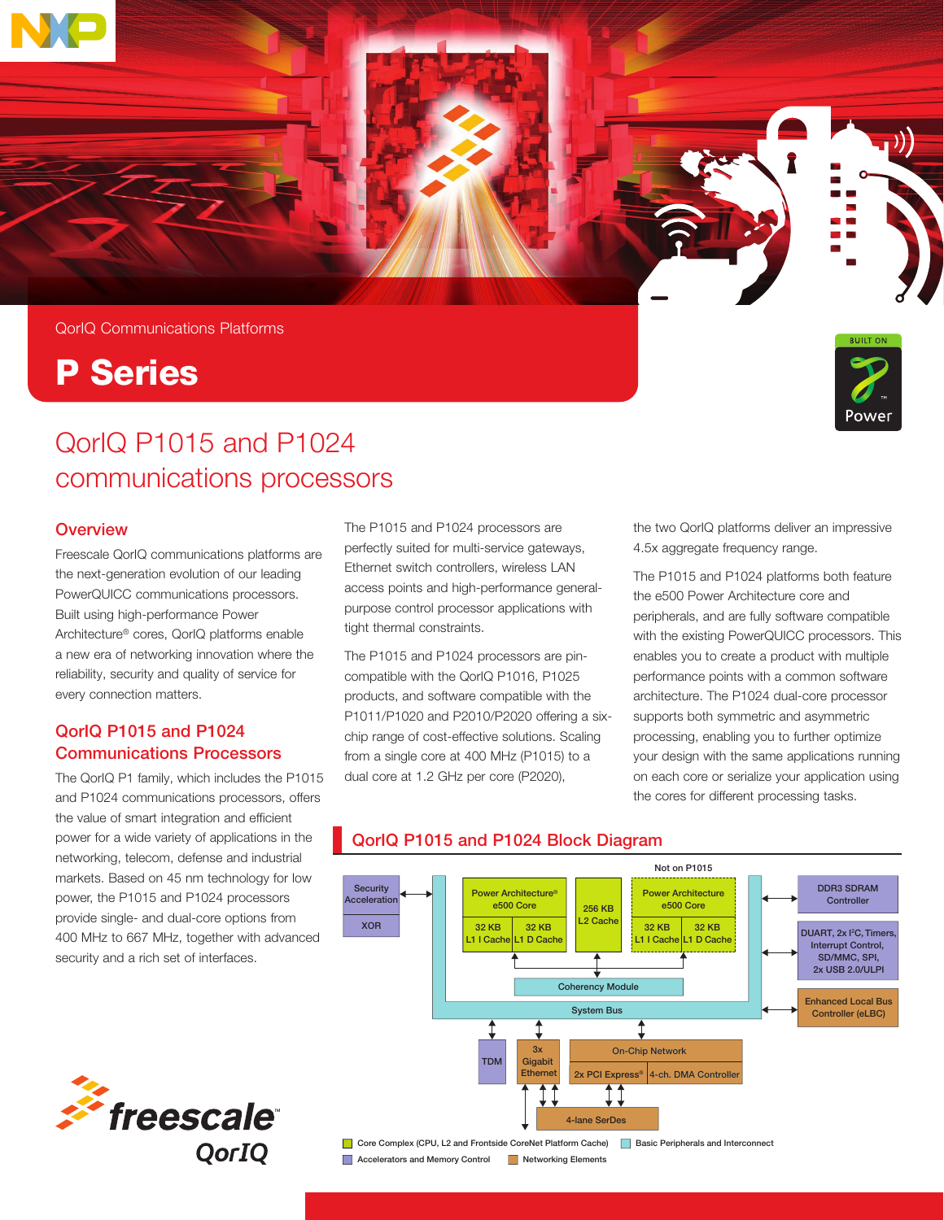

# P Series



## QorIQ P1015 and P1024 communications processors

## **Overview**

Freescale QorIQ communications platforms are the next-generation evolution of our leading PowerQUICC communications processors. Built using high-performance Power Architecture® cores, QorIQ platforms enable a new era of networking innovation where the reliability, security and quality of service for every connection matters.

## QorIQ P1015 and P1024 Communications Processors

The QorIQ P1 family, which includes the P1015 and P1024 communications processors, offers the value of smart integration and efficient power for a wide variety of applications in the networking, telecom, defense and industrial markets. Based on 45 nm technology for low power, the P1015 and P1024 processors provide single- and dual-core options from 400 MHz to 667 MHz, together with advanced security and a rich set of interfaces.

The P1015 and P1024 processors are perfectly suited for multi-service gateways, Ethernet switch controllers, wireless LAN access points and high-performance generalpurpose control processor applications with tight thermal constraints.

The P1015 and P1024 processors are pincompatible with the QorIQ P1016, P1025 products, and software compatible with the P1011/P1020 and P2010/P2020 offering a sixchip range of cost-effective solutions. Scaling from a single core at 400 MHz (P1015) to a dual core at 1.2 GHz per core (P2020),

the two QorIQ platforms deliver an impressive 4.5x aggregate frequency range.

The P1015 and P1024 platforms both feature the e500 Power Architecture core and peripherals, and are fully software compatible with the existing PowerQUICC processors. This enables you to create a product with multiple performance points with a common software architecture. The P1024 dual-core processor supports both symmetric and asymmetric processing, enabling you to further optimize your design with the same applications running on each core or serialize your application using the cores for different processing tasks.



## QorIQ P1015 and P1024 Block Diagram QorIQ P1015 and P1024 Block Diagram